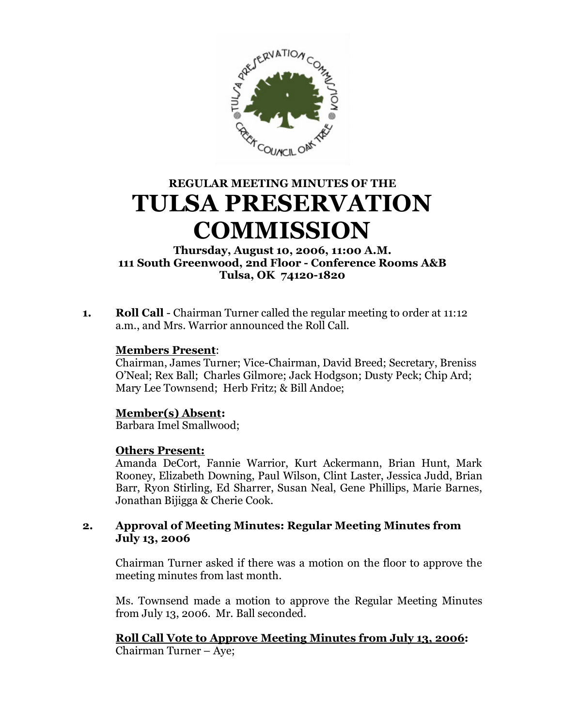

# **REGULAR MEETING MINUTES OF THE TULSA PRESERVATION COMMISSION**

**Thursday, August 10, 2006, 11:00 A.M. 111 South Greenwood, 2nd Floor - Conference Rooms A&B Tulsa, OK 74120-1820**

**1. Roll Call** - Chairman Turner called the regular meeting to order at 11:12 a.m., and Mrs. Warrior announced the Roll Call.

## **Members Present**:

Chairman, James Turner; Vice-Chairman, David Breed; Secretary, Breniss O'Neal; Rex Ball; Charles Gilmore; Jack Hodgson; Dusty Peck; Chip Ard; Mary Lee Townsend; Herb Fritz; & Bill Andoe;

# **Member(s) Absent:**

Barbara Imel Smallwood;

## **Others Present:**

Amanda DeCort, Fannie Warrior, Kurt Ackermann, Brian Hunt, Mark Rooney, Elizabeth Downing, Paul Wilson, Clint Laster, Jessica Judd, Brian Barr, Ryon Stirling, Ed Sharrer, Susan Neal, Gene Phillips, Marie Barnes, Jonathan Bijigga & Cherie Cook.

## **2. Approval of Meeting Minutes: Regular Meeting Minutes from July 13, 2006**

Chairman Turner asked if there was a motion on the floor to approve the meeting minutes from last month.

Ms. Townsend made a motion to approve the Regular Meeting Minutes from July 13, 2006. Mr. Ball seconded.

**Roll Call Vote to Approve Meeting Minutes from July 13, 2006:** Chairman Turner – Aye;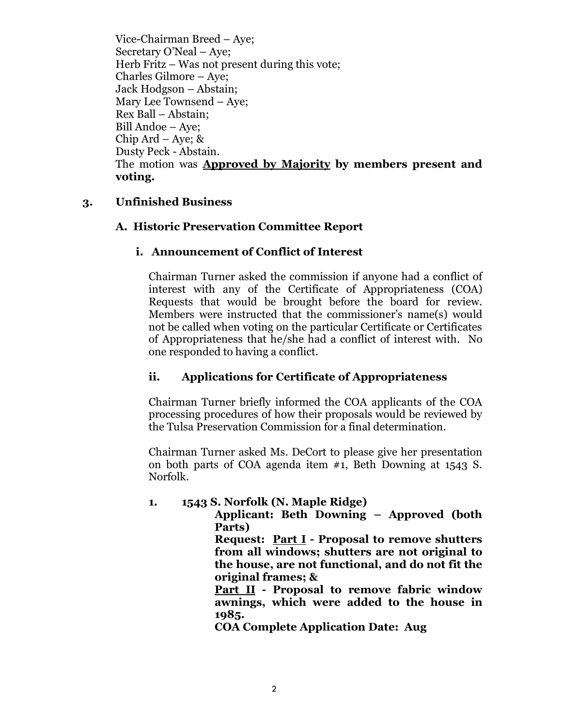Vice-Chairman Breed – Aye; Secretary O'Neal –Aye; Herb Fritz – Was not present during this vote; Charles Gilmore – Aye; Jack Hodgson – Abstain; Mary Lee Townsend – Aye; Rex Ball – Abstain; Bill Andoe – Aye; Chip Ard – Aye; & Dusty Peck - Abstain. The motion was **Approved by Majority by members present and voting.**

## **3. Unfinished Business**

## **A. Historic Preservation Committee Report**

## **i. Announcement of Conflict of Interest**

Chairman Turner asked the commission if anyone had a conflict of interest with any of the Certificate of Appropriateness (COA) Requests that would be brought before the board for review. Members were instructed that the commissioner's name(s) would not be called when voting on the particular Certificate or Certificates of Appropriateness that he/she had a conflict of interest with. No one responded to having a conflict.

## **ii. Applications for Certificate of Appropriateness**

Chairman Turner briefly informed the COA applicants of the COA processing procedures of how their proposals would be reviewed by the Tulsa Preservation Commission for a final determination.

Chairman Turner asked Ms. DeCort to please give her presentation on both parts of COA agenda item #1, Beth Downing at 1543 S. Norfolk.

## **1. 1543 S. Norfolk (N. Maple Ridge)**

**Applicant: Beth Downing – Approved (both Parts)**

**Request: Part I - Proposal to remove shutters from all windows; shutters are not original to the house, are not functional, and do not fit the original frames; &**

**Part II - Proposal to remove fabric window awnings, which were added to the house in 1985.** 

**COA Complete Application Date: Aug**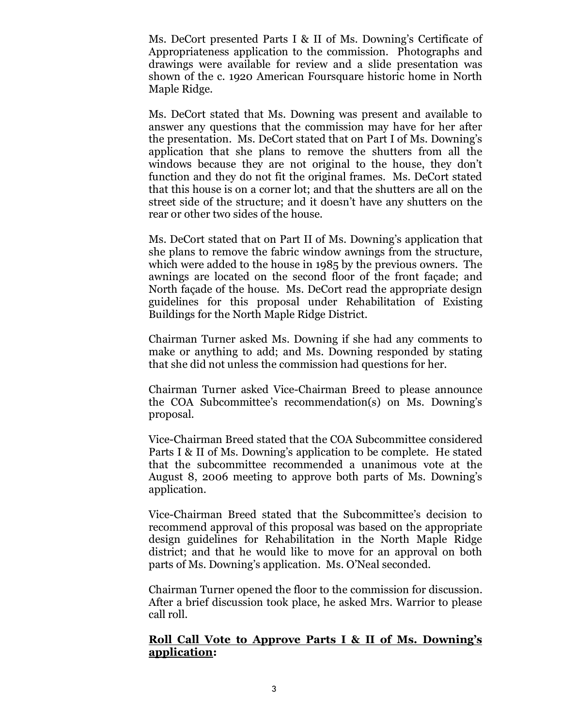Ms. DeCort presented Parts I & II of Ms. Downing's Certificate of Appropriateness application to the commission. Photographs and drawings were available for review and a slide presentation was shown of the c. 1920 American Foursquare historic home in North Maple Ridge.

Ms. DeCort stated that Ms. Downing was present and available to answer any questions that the commission may have for her after the presentation. Ms. DeCort stated that on Part I of Ms. Downing's application that she plans to remove the shutters from all the windows because they are not original to the house, they don't function and they do not fit the original frames. Ms. DeCort stated that this house is on a corner lot; and that the shutters are all on the street side of the structure; and it doesn't have any shutters on the rear or other two sides of the house.

Ms. DeCort stated that on Part II of Ms. Downing's application that she plans to remove the fabric window awnings from the structure, which were added to the house in 1985 by the previous owners. The awnings are located on the second floor of the front façade; and North façade of the house. Ms. DeCort read the appropriate design guidelines for this proposal under Rehabilitation of Existing Buildings for the North Maple Ridge District.

Chairman Turner asked Ms. Downing if she had any comments to make or anything to add; and Ms. Downing responded by stating that she did not unless the commission had questions for her.

Chairman Turner asked Vice-Chairman Breed to please announce the COA Subcommittee's recommendation(s) on Ms. Downing's proposal.

Vice-Chairman Breed stated that the COA Subcommittee considered Parts I & II of Ms. Downing's application to be complete. He stated that the subcommittee recommended a unanimous vote at the August 8, 2006 meeting to approve both parts of Ms. Downing's application.

Vice-Chairman Breed stated that the Subcommittee's decision to recommend approval of this proposal was based on the appropriate design guidelines for Rehabilitation in the North Maple Ridge district; and that he would like to move for an approval on both parts of Ms. Downing's application. Ms. O'Neal seconded.

Chairman Turner opened the floor to the commission for discussion. After a brief discussion took place, he asked Mrs. Warrior to please call roll.

#### **Roll Call Vote to Approve Parts I & II of Ms. Downing's application:**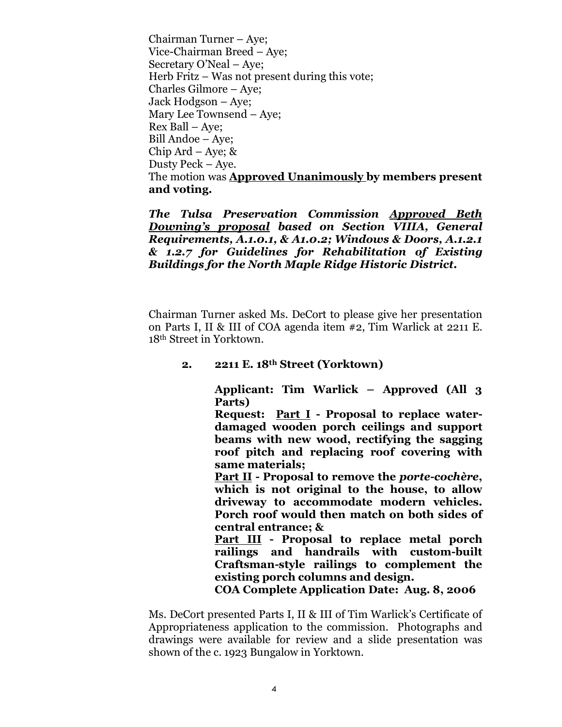Chairman Turner – Aye; Vice-Chairman Breed – Aye; Secretary O'Neal – Aye; Herb Fritz – Was not present during this vote; Charles Gilmore – Aye; Jack Hodgson – Aye; Mary Lee Townsend – Aye; Rex Ball – Aye; Bill Andoe – Aye; Chip Ard – Aye;  $\&$ Dusty Peck – Aye. The motion was **Approved Unanimously by members present and voting.**

*The Tulsa Preservation Commission Approved Beth Downing's proposal based on Section VIIIA, General Requirements, A.1.0.1, & A1.0.2; Windows & Doors, A.1.2.1 & 1.2.7 for Guidelines for Rehabilitation of Existing Buildings for the North Maple Ridge Historic District.*

Chairman Turner asked Ms. DeCort to please give her presentation on Parts I, II & III of COA agenda item #2, Tim Warlick at 2211 E. 18th Street in Yorktown.

#### **2. 2211 E. 18th Street (Yorktown)**

**Applicant: Tim Warlick – Approved (All 3 Parts)**

**Request: Part I - Proposal to replace waterdamaged wooden porch ceilings and support beams with new wood, rectifying the sagging roof pitch and replacing roof covering with same materials;** 

**Part II - Proposal to remove the** *porte-cochère***, which is not original to the house, to allow driveway to accommodate modern vehicles. Porch roof would then match on both sides of central entrance; &**

**Part III - Proposal to replace metal porch railings and handrails with custom-built Craftsman-style railings to complement the existing porch columns and design.** 

**COA Complete Application Date: Aug. 8, 2006**

Ms. DeCort presented Parts I, II & III of Tim Warlick's Certificate of Appropriateness application to the commission. Photographs and drawings were available for review and a slide presentation was shown of the c. 1923 Bungalow in Yorktown.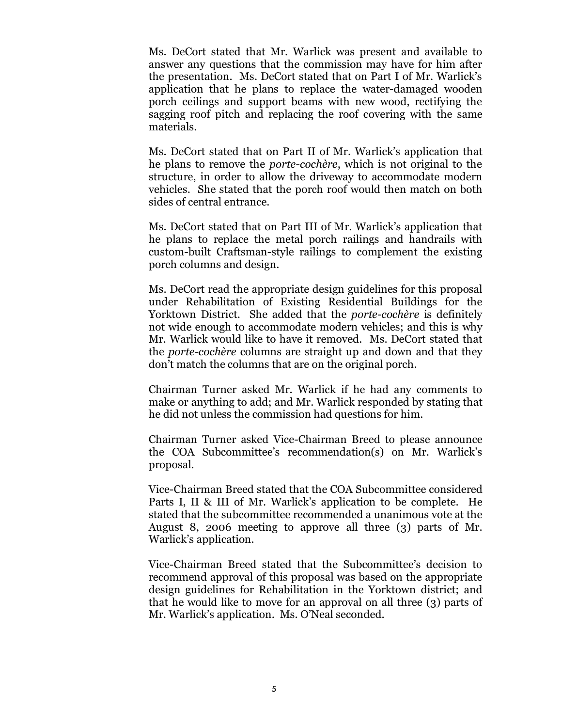Ms. DeCort stated that Mr. Warlick was present and available to answer any questions that the commission may have for him after the presentation. Ms. DeCort stated that on Part I of Mr. Warlick's application that he plans to replace the water-damaged wooden porch ceilings and support beams with new wood, rectifying the sagging roof pitch and replacing the roof covering with the same materials.

Ms. DeCort stated that on Part II of Mr. Warlick's application that he plans to remove the *porte-cochère*, which is not original to the structure, in order to allow the driveway to accommodate modern vehicles. She stated that the porch roof would then match on both sides of central entrance.

Ms. DeCort stated that on Part III of Mr. Warlick's application that he plans to replace the metal porch railings and handrails with custom-built Craftsman-style railings to complement the existing porch columns and design.

Ms. DeCort read the appropriate design guidelines for this proposal under Rehabilitation of Existing Residential Buildings for the Yorktown District. She added that the *porte-cochère* is definitely not wide enough to accommodate modern vehicles; and this is why Mr. Warlick would like to have it removed. Ms. DeCort stated that the *porte-cochère* columns are straight up and down and that they don't match the columns that are on the original porch.

Chairman Turner asked Mr. Warlick if he had any comments to make or anything to add; and Mr. Warlick responded by stating that he did not unless the commission had questions for him.

Chairman Turner asked Vice-Chairman Breed to please announce the COA Subcommittee's recommendation(s) on Mr. Warlick's proposal.

Vice-Chairman Breed stated that the COA Subcommittee considered Parts I, II & III of Mr. Warlick's application to be complete. He stated that the subcommittee recommended a unanimous vote at the August 8, 2006 meeting to approve all three (3) parts of Mr. Warlick's application.

Vice-Chairman Breed stated that the Subcommittee's decision to recommend approval of this proposal was based on the appropriate design guidelines for Rehabilitation in the Yorktown district; and that he would like to move for an approval on all three (3) parts of Mr. Warlick's application. Ms. O'Neal seconded.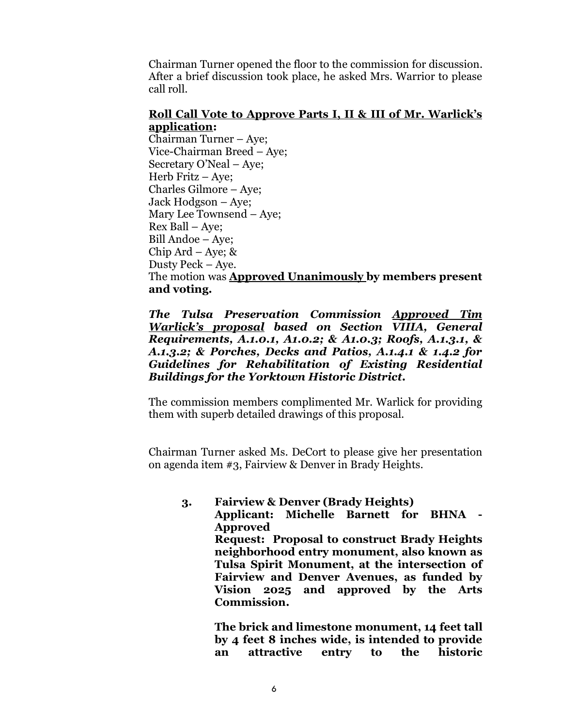Chairman Turner opened the floor to the commission for discussion. After a brief discussion took place, he asked Mrs. Warrior to please call roll.

#### **Roll Call Vote to Approve Parts I, II & III of Mr. Warlick's application:**

Chairman Turner – Aye; Vice-Chairman Breed – Aye; Secretary O'Neal – Aye; Herb Fritz –Aye; Charles Gilmore – Aye; Jack Hodgson – Aye; Mary Lee Townsend – Aye; Rex Ball – Aye; Bill Andoe – Aye; Chip Ard – Aye;  $\&$ Dusty Peck – Aye. The motion was **Approved Unanimously by members present and voting.**

#### *The Tulsa Preservation Commission Approved Tim Warlick's proposal based on Section VIIIA, General Requirements, A.1.0.1, A1.0.2; & A1.0.3; Roofs, A.1.3.1, & A.1.3.2; & Porches, Decks and Patios, A.1.4.1 & 1.4.2 for Guidelines for Rehabilitation of Existing Residential Buildings for the Yorktown Historic District.*

The commission members complimented Mr. Warlick for providing them with superb detailed drawings of this proposal.

Chairman Turner asked Ms. DeCort to please give her presentation on agenda item #3, Fairview & Denver in Brady Heights.

**3. Fairview & Denver (Brady Heights) Applicant: Michelle Barnett for BHNA - Approved Request: Proposal to construct Brady Heights neighborhood entry monument, also known as Tulsa Spirit Monument, at the intersection of Fairview and Denver Avenues, as funded by Vision 2025 and approved by the Arts Commission.** 

> **The brick and limestone monument, 14 feet tall by 4 feet 8 inches wide, is intended to provide an attractive entry to the historic**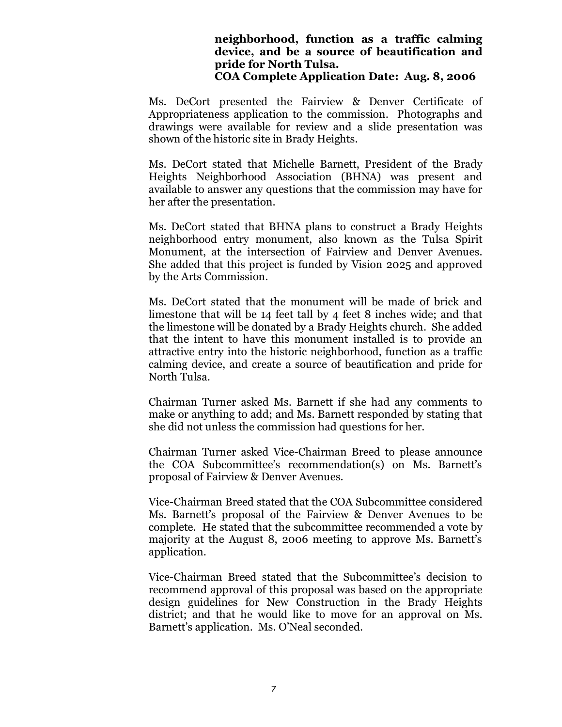#### **neighborhood, function as a traffic calming device, and be a source of beautification and pride for North Tulsa. COA Complete Application Date: Aug. 8, 2006**

Ms. DeCort presented the Fairview & Denver Certificate of Appropriateness application to the commission. Photographs and drawings were available for review and a slide presentation was shown of the historic site in Brady Heights.

Ms. DeCort stated that Michelle Barnett, President of the Brady Heights Neighborhood Association (BHNA) was present and available to answer any questions that the commission may have for her after the presentation.

Ms. DeCort stated that BHNA plans to construct a Brady Heights neighborhood entry monument, also known as the Tulsa Spirit Monument, at the intersection of Fairview and Denver Avenues. She added that this project is funded by Vision 2025 and approved by the Arts Commission.

Ms. DeCort stated that the monument will be made of brick and limestone that will be 14 feet tall by 4 feet 8 inches wide; and that the limestone will be donated by a Brady Heights church. She added that the intent to have this monument installed is to provide an attractive entry into the historic neighborhood, function as a traffic calming device, and create a source of beautification and pride for North Tulsa.

Chairman Turner asked Ms. Barnett if she had any comments to make or anything to add; and Ms. Barnett responded by stating that she did not unless the commission had questions for her.

Chairman Turner asked Vice-Chairman Breed to please announce the COA Subcommittee's recommendation(s) on Ms. Barnett's proposal of Fairview & Denver Avenues.

Vice-Chairman Breed stated that the COA Subcommittee considered Ms. Barnett's proposal of the Fairview & Denver Avenues to be complete. He stated that the subcommittee recommended a vote by majority at the August 8, 2006 meeting to approve Ms. Barnett's application.

Vice-Chairman Breed stated that the Subcommittee's decision to recommend approval of this proposal was based on the appropriate design guidelines for New Construction in the Brady Heights district; and that he would like to move for an approval on Ms. Barnett's application. Ms. O'Neal seconded.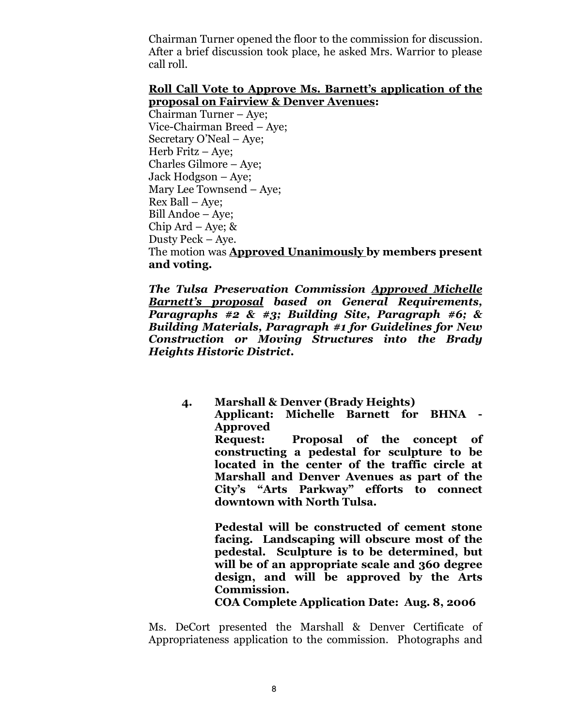Chairman Turner opened the floor to the commission for discussion. After a brief discussion took place, he asked Mrs. Warrior to please call roll.

#### **Roll Call Vote to Approve Ms. Barnett's application of the proposal on Fairview & Denver Avenues:**

Chairman Turner – Aye; Vice-Chairman Breed – Aye; Secretary O'Neal – Aye; Herb Fritz – Aye; Charles Gilmore – Aye; Jack Hodgson – Aye; Mary Lee Townsend – Aye; Rex Ball – Aye; Bill Andoe – Aye; Chip Ard – Aye;  $\&$ Dusty Peck – Aye. The motion was **Approved Unanimously by members present and voting.**

*The Tulsa Preservation Commission Approved Michelle Barnett's proposal based on General Requirements, Paragraphs #2 & #3; Building Site, Paragraph #6; & Building Materials, Paragraph #1 for Guidelines for New Construction or Moving Structures into the Brady Heights Historic District.*

> **4. Marshall & Denver (Brady Heights) Applicant: Michelle Barnett for BHNA - Approved Request: Proposal of the concept of constructing a pedestal for sculpture to be located in the center of the traffic circle at Marshall and Denver Avenues as part of the City's "Arts Parkway" efforts to connect downtown with North Tulsa.**

> > **Pedestal will be constructed of cement stone facing. Landscaping will obscure most of the pedestal. Sculpture is to be determined, but will be of an appropriate scale and 360 degree design, and will be approved by the Arts Commission.**

**COA Complete Application Date: Aug. 8, 2006**

Ms. DeCort presented the Marshall & Denver Certificate of Appropriateness application to the commission. Photographs and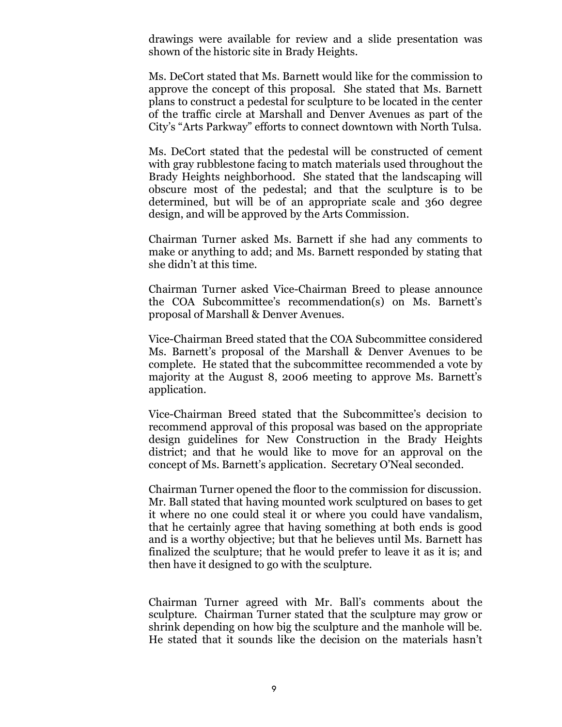drawings were available for review and a slide presentation was shown of the historic site in Brady Heights.

Ms. DeCort stated that Ms. Barnett would like for the commission to approve the concept of this proposal. She stated that Ms. Barnett plans to construct a pedestal for sculpture to be located in the center of the traffic circle at Marshall and Denver Avenues as part of the City's "Arts Parkway" efforts to connect downtown with North Tulsa.

Ms. DeCort stated that the pedestal will be constructed of cement with gray rubblestone facing to match materials used throughout the Brady Heights neighborhood. She stated that the landscaping will obscure most of the pedestal; and that the sculpture is to be determined, but will be of an appropriate scale and 360 degree design, and will be approved by the Arts Commission.

Chairman Turner asked Ms. Barnett if she had any comments to make or anything to add; and Ms. Barnett responded by stating that she didn't at this time.

Chairman Turner asked Vice-Chairman Breed to please announce the COA Subcommittee's recommendation(s) on Ms. Barnett's proposal of Marshall & Denver Avenues.

Vice-Chairman Breed stated that the COA Subcommittee considered Ms. Barnett's proposal of the Marshall & Denver Avenues to be complete. He stated that the subcommittee recommended a vote by majority at the August 8, 2006 meeting to approve Ms. Barnett's application.

Vice-Chairman Breed stated that the Subcommittee's decision to recommend approval of this proposal was based on the appropriate design guidelines for New Construction in the Brady Heights district; and that he would like to move for an approval on the concept of Ms. Barnett's application. Secretary O'Neal seconded.

Chairman Turner opened the floor to the commission for discussion. Mr. Ball stated that having mounted work sculptured on bases to get it where no one could steal it or where you could have vandalism, that he certainly agree that having something at both ends is good and is a worthy objective; but that he believes until Ms. Barnett has finalized the sculpture; that he would prefer to leave it as it is; and then have it designed to go with the sculpture.

Chairman Turner agreed with Mr. Ball's comments about the sculpture. Chairman Turner stated that the sculpture may grow or shrink depending on how big the sculpture and the manhole will be. He stated that it sounds like the decision on the materials hasn't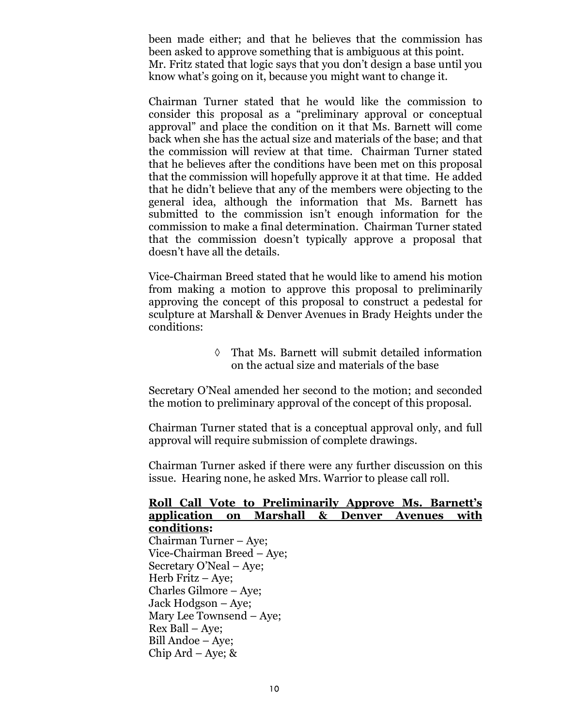been made either; and that he believes that the commission has been asked to approve something that is ambiguous at this point. Mr. Fritz stated that logic says that you don't design a base until you know what's going on it, because you might want to change it.

Chairman Turner stated that he would like the commission to consider this proposal as a "preliminary approval or conceptual approval" and place the condition on it that Ms. Barnett will come back when she has the actual size and materials of the base; and that the commission will review at that time. Chairman Turner stated that he believes after the conditions have been met on this proposal that the commission will hopefully approve it at that time. He added that he didn't believe that any of the members were objecting to the general idea, although the information that Ms. Barnett has submitted to the commission isn't enough information for the commission to make a final determination. Chairman Turner stated that the commission doesn't typically approve a proposal that doesn't have all the details.

Vice-Chairman Breed stated that he would like to amend his motion from making a motion to approve this proposal to preliminarily approving the concept of this proposal to construct a pedestal for sculpture at Marshall & Denver Avenues in Brady Heights under the conditions:

> That Ms. Barnett will submit detailed information on the actual size and materials of the base

Secretary O'Neal amended her second to the motion; and seconded the motion to preliminary approval of the concept of this proposal.

Chairman Turner stated that is a conceptual approval only, and full approval will require submission of complete drawings.

Chairman Turner asked if there were any further discussion on this issue. Hearing none, he asked Mrs. Warrior to please call roll.

#### **Roll Call Vote to Preliminarily Approve Ms. Barnett's application on Marshall & Denver Avenues with conditions:**

Chairman Turner – Aye; Vice-Chairman Breed – Aye; Secretary O'Neal – Aye; Herb Fritz –Aye; Charles Gilmore – Aye; Jack Hodgson – Aye; Mary Lee Townsend – Aye; Rex Ball – Aye; Bill Andoe – Aye; Chip Ard – Aye;  $\&$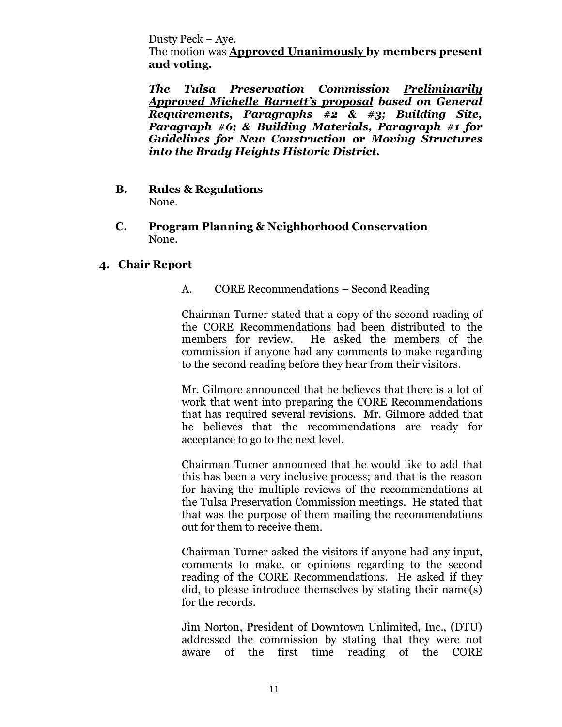Dusty Peck – Aye.

The motion was **Approved Unanimously by members present and voting.**

*The Tulsa Preservation Commission Preliminarily Approved Michelle Barnett's proposal based on General Requirements, Paragraphs #2 & #3; Building Site, Paragraph #6; & Building Materials, Paragraph #1 for Guidelines for New Construction or Moving Structures into the Brady Heights Historic District.*

- **B. Rules & Regulations** None.
- **C. Program Planning & Neighborhood Conservation** None.

#### **4. Chair Report**

#### A. CORE Recommendations – Second Reading

Chairman Turner stated that a copy of the second reading of the CORE Recommendations had been distributed to the members for review. He asked the members of the commission if anyone had any comments to make regarding to the second reading before they hear from their visitors.

Mr. Gilmore announced that he believes that there is a lot of work that went into preparing the CORE Recommendations that has required several revisions. Mr. Gilmore added that he believes that the recommendations are ready for acceptance to go to the next level.

Chairman Turner announced that he would like to add that this has been a very inclusive process; and that is the reason for having the multiple reviews of the recommendations at the Tulsa Preservation Commission meetings. He stated that that was the purpose of them mailing the recommendations out for them to receive them.

Chairman Turner asked the visitors if anyone had any input, comments to make, or opinions regarding to the second reading of the CORE Recommendations. He asked if they did, to please introduce themselves by stating their name(s) for the records.

Jim Norton, President of Downtown Unlimited, Inc., (DTU) addressed the commission by stating that they were not aware of the first time reading of the CORE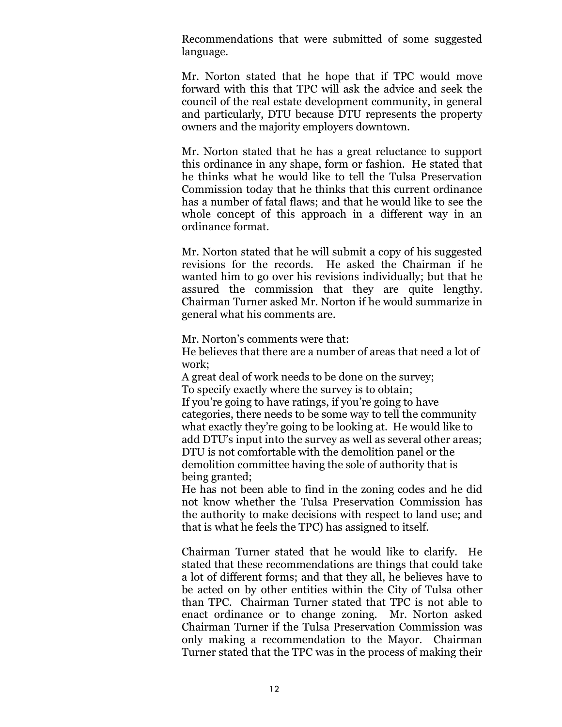Recommendations that were submitted of some suggested language.

Mr. Norton stated that he hope that if TPC would move forward with this that TPC will ask the advice and seek the council of the real estate development community, in general and particularly, DTU because DTU represents the property owners and the majority employers downtown.

Mr. Norton stated that he has a great reluctance to support this ordinance in any shape, form or fashion. He stated that he thinks what he would like to tell the Tulsa Preservation Commission today that he thinks that this current ordinance has a number of fatal flaws; and that he would like to see the whole concept of this approach in a different way in an ordinance format.

Mr. Norton stated that he will submit a copy of his suggested revisions for the records. He asked the Chairman if he wanted him to go over his revisions individually; but that he assured the commission that they are quite lengthy. Chairman Turner asked Mr. Norton if he would summarize in general what his comments are.

Mr. Norton's comments were that:

He believes that there are a number of areas that need a lot of work;

A great deal of work needs to be done on the survey; To specify exactly where the survey is to obtain; If you're going to have ratings, if you're going to have categories, there needs to be some way to tell the community what exactly they're going to be looking at. He would like to add DTU's input into the survey as well as several other areas; DTU is not comfortable with the demolition panel or the demolition committee having the sole of authority that is being granted;

He has not been able to find in the zoning codes and he did not know whether the Tulsa Preservation Commission has the authority to make decisions with respect to land use; and that is what he feels the TPC) has assigned to itself.

Chairman Turner stated that he would like to clarify. He stated that these recommendations are things that could take a lot of different forms; and that they all, he believes have to be acted on by other entities within the City of Tulsa other than TPC. Chairman Turner stated that TPC is not able to enact ordinance or to change zoning. Mr. Norton asked Chairman Turner if the Tulsa Preservation Commission was only making a recommendation to the Mayor. Chairman Turner stated that the TPC was in the process of making their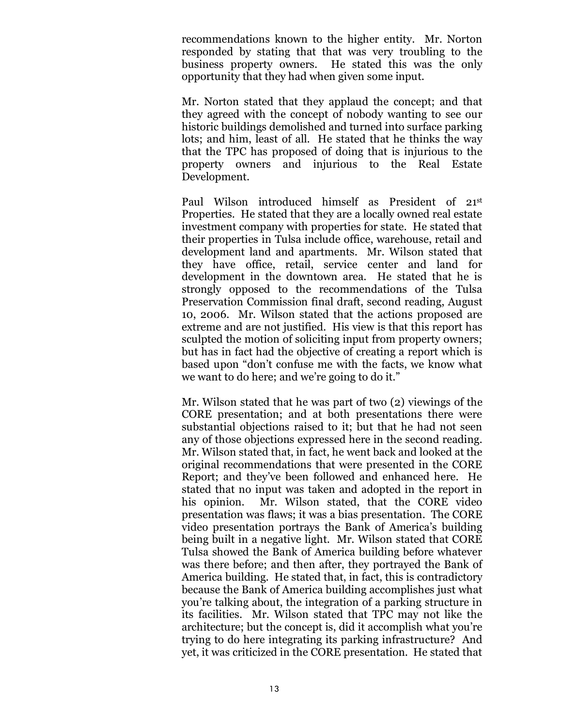recommendations known to the higher entity. Mr. Norton responded by stating that that was very troubling to the business property owners. He stated this was the only opportunity that they had when given some input.

Mr. Norton stated that they applaud the concept; and that they agreed with the concept of nobody wanting to see our historic buildings demolished and turned into surface parking lots; and him, least of all. He stated that he thinks the way that the TPC has proposed of doing that is injurious to the property owners and injurious to the Real Estate Development.

Paul Wilson introduced himself as President of 21st Properties. He stated that they are a locally owned real estate investment company with properties for state. He stated that their properties in Tulsa include office, warehouse, retail and development land and apartments. Mr. Wilson stated that they have office, retail, service center and land for development in the downtown area. He stated that he is strongly opposed to the recommendations of the Tulsa Preservation Commission final draft, second reading, August 10, 2006. Mr. Wilson stated that the actions proposed are extreme and are not justified. His view is that this report has sculpted the motion of soliciting input from property owners; but has in fact had the objective of creating a report which is based upon "don't confuse me with the facts, we know what we want to do here; and we're going to do it."

Mr. Wilson stated that he was part of two (2) viewings of the CORE presentation; and at both presentations there were substantial objections raised to it; but that he had not seen any of those objections expressed here in the second reading. Mr. Wilson stated that, in fact, he went back and looked at the original recommendations that were presented in the CORE Report; and they've been followed and enhanced here. He stated that no input was taken and adopted in the report in his opinion. Mr. Wilson stated, that the CORE video presentation was flaws; it was a bias presentation. The CORE video presentation portrays the Bank of America's building being built in a negative light. Mr. Wilson stated that CORE Tulsa showed the Bank of America building before whatever was there before; and then after, they portrayed the Bank of America building. He stated that, in fact, this is contradictory because the Bank of America building accomplishes just what you're talking about, the integration of a parking structure in its facilities. Mr. Wilson stated that TPC may not like the architecture; but the concept is, did it accomplish what you're trying to do here integrating its parking infrastructure? And yet, it was criticized in the CORE presentation. He stated that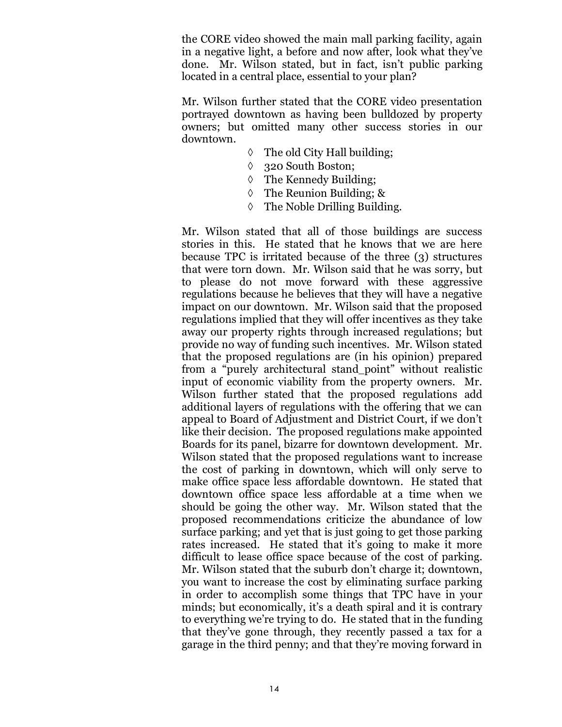the CORE video showed the main mall parking facility, again in a negative light, a before and now after, look what they've done. Mr. Wilson stated, but in fact, isn't public parking located in a central place, essential to your plan?

Mr. Wilson further stated that the CORE video presentation portrayed downtown as having been bulldozed by property owners; but omitted many other success stories in our downtown.

- $\Diamond$  The old City Hall building;
- 320 South Boston;
- The Kennedy Building;
- The Reunion Building; &
- The Noble Drilling Building.

Mr. Wilson stated that all of those buildings are success stories in this. He stated that he knows that we are here because TPC is irritated because of the three (3) structures that were torn down. Mr. Wilson said that he was sorry, but to please do not move forward with these aggressive regulations because he believes that they will have a negative impact on our downtown. Mr. Wilson said that the proposed regulations implied that they will offer incentives as they take away our property rights through increased regulations; but provide no way of funding such incentives. Mr. Wilson stated that the proposed regulations are (in his opinion) prepared from a "purely architectural stand point" without realistic input of economic viability from the property owners. Mr. Wilson further stated that the proposed regulations add additional layers of regulations with the offering that we can appeal to Board of Adjustment and District Court, if we don't like their decision. The proposed regulations make appointed Boards for its panel, bizarre for downtown development. Mr. Wilson stated that the proposed regulations want to increase the cost of parking in downtown, which will only serve to make office space less affordable downtown. He stated that downtown office space less affordable at a time when we should be going the other way. Mr. Wilson stated that the proposed recommendations criticize the abundance of low surface parking; and yet that is just going to get those parking rates increased. He stated that it's going to make it more difficult to lease office space because of the cost of parking. Mr. Wilson stated that the suburb don't charge it; downtown, you want to increase the cost by eliminating surface parking in order to accomplish some things that TPC have in your minds; but economically, it's a death spiral and it is contrary to everything we're trying to do. He stated that in the funding that they've gone through, they recently passed a tax for a garage in the third penny; and that they're moving forward in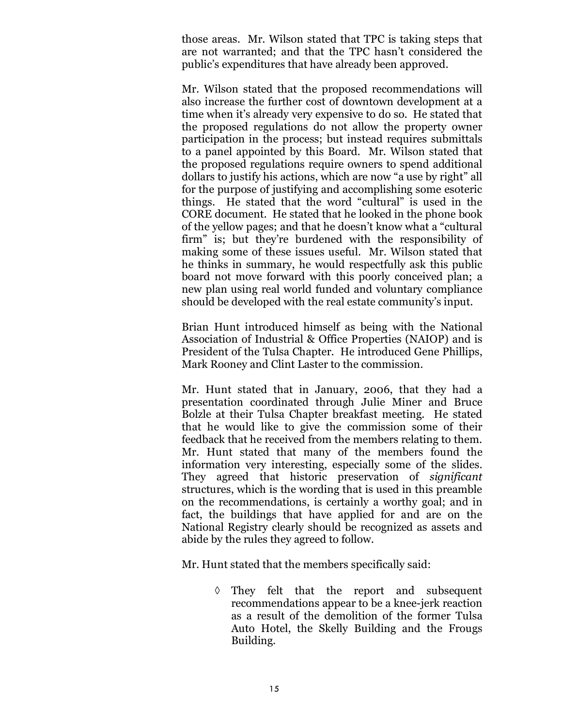those areas. Mr. Wilson stated that TPC is taking steps that are not warranted; and that the TPC hasn't considered the public's expenditures that have already been approved.

Mr. Wilson stated that the proposed recommendations will also increase the further cost of downtown development at a time when it's already very expensive to do so. He stated that the proposed regulations do not allow the property owner participation in the process; but instead requires submittals to a panel appointed by this Board. Mr. Wilson stated that the proposed regulations require owners to spend additional dollars to justify his actions, which are now "a use by right" all for the purpose of justifying and accomplishing some esoteric things. He stated that the word "cultural" is used in the CORE document. He stated that he looked in the phone book of the yellow pages; and that he doesn't know what a "cultural firm" is; but they're burdened with the responsibility of making some of these issues useful. Mr. Wilson stated that he thinks in summary, he would respectfully ask this public board not move forward with this poorly conceived plan; a new plan using real world funded and voluntary compliance should be developed with the real estate community's input.

Brian Hunt introduced himself as being with the National Association of Industrial & Office Properties (NAIOP) and is President of the Tulsa Chapter. He introduced Gene Phillips, Mark Rooney and Clint Laster to the commission.

Mr. Hunt stated that in January, 2006, that they had a presentation coordinated through Julie Miner and Bruce Bolzle at their Tulsa Chapter breakfast meeting. He stated that he would like to give the commission some of their feedback that he received from the members relating to them. Mr. Hunt stated that many of the members found the information very interesting, especially some of the slides. They agreed that historic preservation of *significant*  structures, which is the wording that is used in this preamble on the recommendations, is certainly a worthy goal; and in fact, the buildings that have applied for and are on the National Registry clearly should be recognized as assets and abide by the rules they agreed to follow.

Mr. Hunt stated that the members specifically said:

 They felt that the report and subsequent recommendations appear to be a knee-jerk reaction as a result of the demolition of the former Tulsa Auto Hotel, the Skelly Building and the Frougs Building.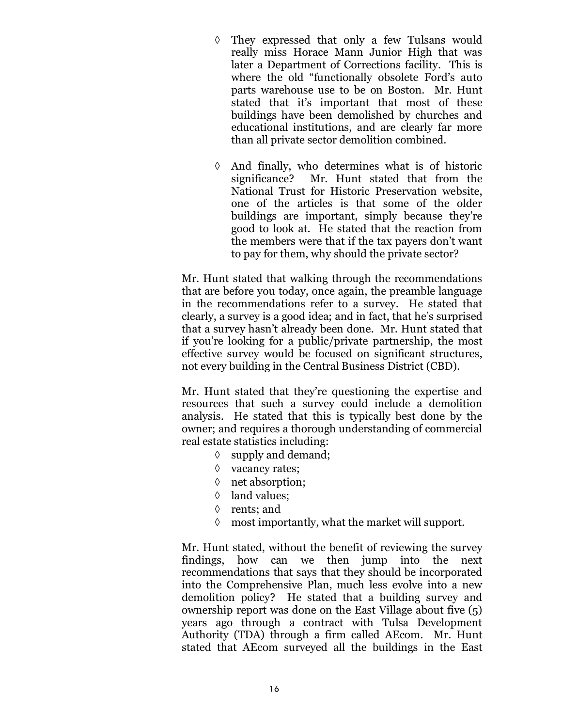- They expressed that only a few Tulsans would really miss Horace Mann Junior High that was later a Department of Corrections facility. This is where the old "functionally obsolete Ford's auto parts warehouse use to be on Boston. Mr. Hunt stated that it's important that most of these buildings have been demolished by churches and educational institutions, and are clearly far more than all private sector demolition combined.
- $\Diamond$  And finally, who determines what is of historic significance? Mr. Hunt stated that from the National Trust for Historic Preservation website, one of the articles is that some of the older buildings are important, simply because they're good to look at. He stated that the reaction from the members were that if the tax payers don't want to pay for them, why should the private sector?

Mr. Hunt stated that walking through the recommendations that are before you today, once again, the preamble language in the recommendations refer to a survey. He stated that clearly, a survey is a good idea; and in fact, that he's surprised that a survey hasn't already been done. Mr. Hunt stated that if you're looking for a public/private partnership, the most effective survey would be focused on significant structures, not every building in the Central Business District (CBD).

Mr. Hunt stated that they're questioning the expertise and resources that such a survey could include a demolition analysis. He stated that this is typically best done by the owner; and requires a thorough understanding of commercial real estate statistics including:

- $\Diamond$  supply and demand;
- $\Diamond$  vacancy rates;
- $\Diamond$  net absorption;
- $\Diamond$  land values;
- $\Diamond$  rents; and
- $\Diamond$  most importantly, what the market will support.

Mr. Hunt stated, without the benefit of reviewing the survey findings, how can we then jump into the next recommendations that says that they should be incorporated into the Comprehensive Plan, much less evolve into a new demolition policy? He stated that a building survey and ownership report was done on the East Village about five (5) years ago through a contract with Tulsa Development Authority (TDA) through a firm called AEcom. Mr. Hunt stated that AEcom surveyed all the buildings in the East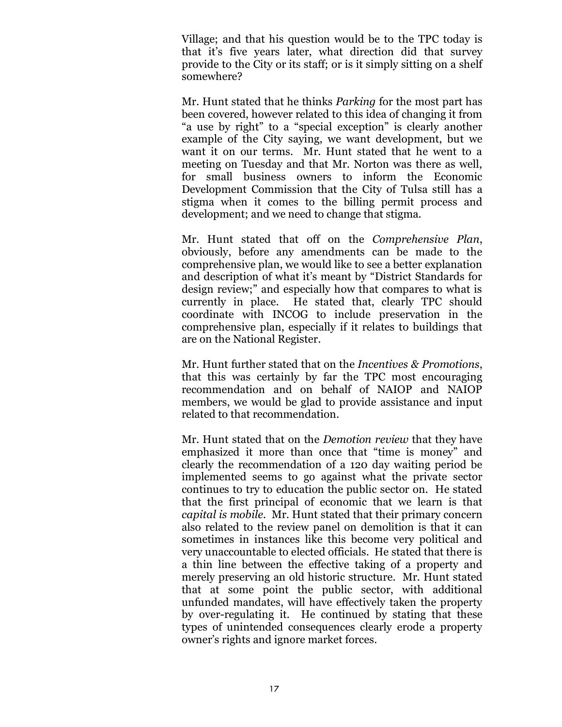Village; and that his question would be to the TPC today is that it's five years later, what direction did that survey provide to the City or its staff; or is it simply sitting on a shelf somewhere?

Mr. Hunt stated that he thinks *Parking* for the most part has been covered, however related to this idea of changing it from "a use by right" to a "special exception" is clearly another example of the City saying, we want development, but we want it on our terms. Mr. Hunt stated that he went to a meeting on Tuesday and that Mr. Norton was there as well, for small business owners to inform the Economic Development Commission that the City of Tulsa still has a stigma when it comes to the billing permit process and development; and we need to change that stigma.

Mr. Hunt stated that off on the *Comprehensive Plan*, obviously, before any amendments can be made to the comprehensive plan, we would like to see a better explanation and description of what it's meant by "District Standards for design review;" and especially how that compares to what is currently in place. He stated that, clearly TPC should coordinate with INCOG to include preservation in the comprehensive plan, especially if it relates to buildings that are on the National Register.

Mr. Hunt further stated that on the *Incentives & Promotions*, that this was certainly by far the TPC most encouraging recommendation and on behalf of NAIOP and NAIOP members, we would be glad to provide assistance and input related to that recommendation.

Mr. Hunt stated that on the *Demotion review* that they have emphasized it more than once that "time is money" and clearly the recommendation of a 120 day waiting period be implemented seems to go against what the private sector continues to try to education the public sector on. He stated that the first principal of economic that we learn is that *capital is mobile.* Mr. Hunt stated that their primary concern also related to the review panel on demolition is that it can sometimes in instances like this become very political and very unaccountable to elected officials. He stated that there is a thin line between the effective taking of a property and merely preserving an old historic structure. Mr. Hunt stated that at some point the public sector, with additional unfunded mandates, will have effectively taken the property by over-regulating it. He continued by stating that these types of unintended consequences clearly erode a property owner's rights and ignore market forces.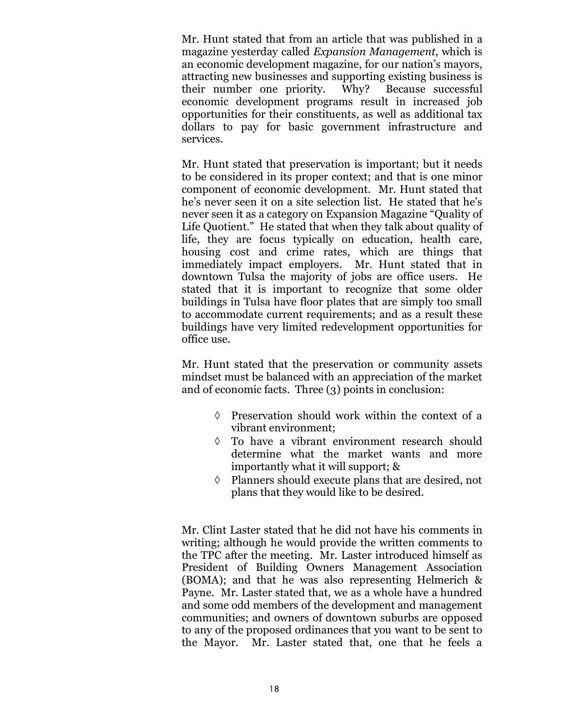Mr. Hunt stated that from an article that was published in a magazine yesterday called *Expansion Management*, which is an economic development magazine, for our nation's mayors, attracting new businesses and supporting existing business is their number one priority. Why? Because successful economic development programs result in increased job opportunities for their constituents, as well as additional tax dollars to pay for basic government infrastructure and services.

Mr. Hunt stated that preservation is important; but it needs to be considered in its proper context; and that is one minor component of economic development. Mr. Hunt stated that he's never seen it on a site selection list. He stated that he's never seen it as a category on Expansion Magazine "Quality of Life Quotient." He stated that when they talk about quality of life, they are focus typically on education, health care, housing cost and crime rates, which are things that immediately impact employers. Mr. Hunt stated that in downtown Tulsa the majority of jobs are office users. He stated that it is important to recognize that some older buildings in Tulsa have floor plates that are simply too small to accommodate current requirements; and as a result these buildings have very limited redevelopment opportunities for office use.

Mr. Hunt stated that the preservation or community assets mindset must be balanced with an appreciation of the market and of economic facts. Three (3) points in conclusion:

- $\Diamond$  Preservation should work within the context of a vibrant environment;
- To have a vibrant environment research should determine what the market wants and more importantly what it will support; &
- $\Diamond$  Planners should execute plans that are desired, not plans that they would like to be desired.

Mr. Clint Laster stated that he did not have his comments in writing; although he would provide the written comments to the TPC after the meeting. Mr. Laster introduced himself as President of Building Owners Management Association (BOMA); and that he was also representing Helmerich & Payne. Mr. Laster stated that, we as a whole have a hundred and some odd members of the development and management communities; and owners of downtown suburbs are opposed to any of the proposed ordinances that you want to be sent to the Mayor. Mr. Laster stated that, one that he feels a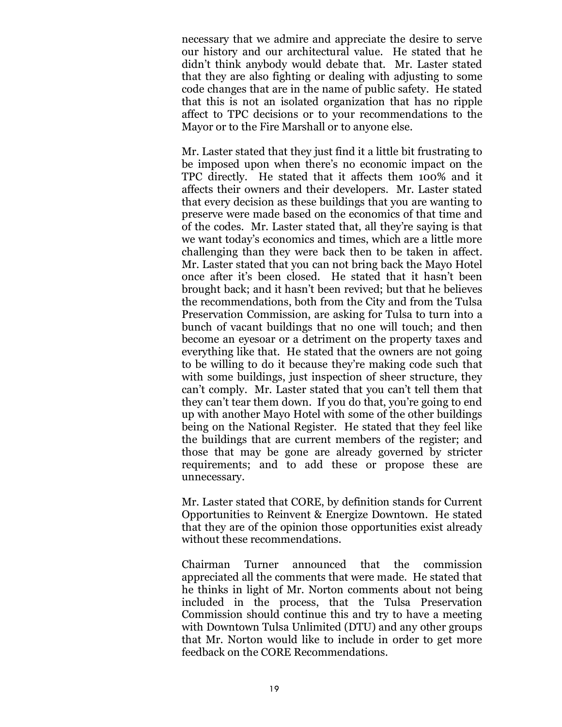necessary that we admire and appreciate the desire to serve our history and our architectural value. He stated that he didn't think anybody would debate that. Mr. Laster stated that they are also fighting or dealing with adjusting to some code changes that are in the name of public safety. He stated that this is not an isolated organization that has no ripple affect to TPC decisions or to your recommendations to the Mayor or to the Fire Marshall or to anyone else.

Mr. Laster stated that they just find it a little bit frustrating to be imposed upon when there's no economic impact on the TPC directly. He stated that it affects them 100% and it affects their owners and their developers. Mr. Laster stated that every decision as these buildings that you are wanting to preserve were made based on the economics of that time and of the codes. Mr. Laster stated that, all they're saying is that we want today's economics and times, which are a little more challenging than they were back then to be taken in affect. Mr. Laster stated that you can not bring back the Mayo Hotel once after it's been closed. He stated that it hasn't been brought back; and it hasn't been revived; but that he believes the recommendations, both from the City and from the Tulsa Preservation Commission, are asking for Tulsa to turn into a bunch of vacant buildings that no one will touch; and then become an eyesoar or a detriment on the property taxes and everything like that. He stated that the owners are not going to be willing to do it because they're making code such that with some buildings, just inspection of sheer structure, they can't comply. Mr. Laster stated that you can't tell them that they can't tear them down. If you do that, you're going to end up with another Mayo Hotel with some of the other buildings being on the National Register. He stated that they feel like the buildings that are current members of the register; and those that may be gone are already governed by stricter requirements; and to add these or propose these are unnecessary.

Mr. Laster stated that CORE, by definition stands for Current Opportunities to Reinvent & Energize Downtown. He stated that they are of the opinion those opportunities exist already without these recommendations.

Chairman Turner announced that the commission appreciated all the comments that were made. He stated that he thinks in light of Mr. Norton comments about not being included in the process, that the Tulsa Preservation Commission should continue this and try to have a meeting with Downtown Tulsa Unlimited (DTU) and any other groups that Mr. Norton would like to include in order to get more feedback on the CORE Recommendations.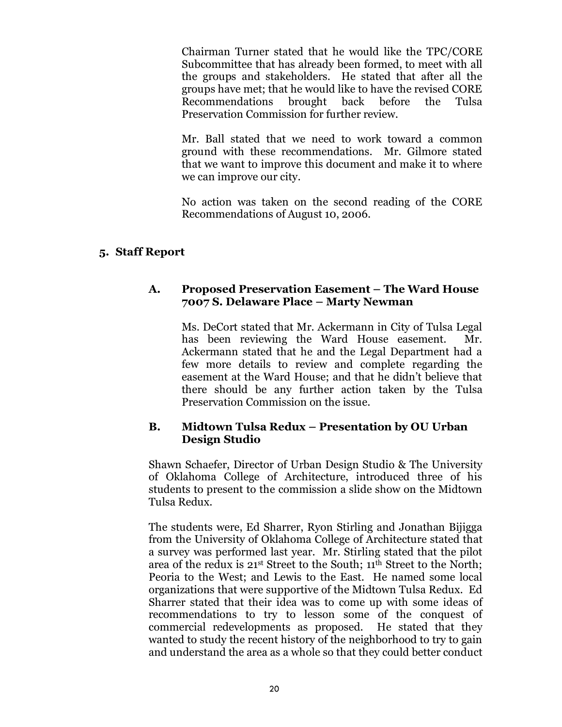Chairman Turner stated that he would like the TPC/CORE Subcommittee that has already been formed, to meet with all the groups and stakeholders. He stated that after all the groups have met; that he would like to have the revised CORE Recommendations brought back before the Tulsa Preservation Commission for further review.

Mr. Ball stated that we need to work toward a common ground with these recommendations. Mr. Gilmore stated that we want to improve this document and make it to where we can improve our city.

No action was taken on the second reading of the CORE Recommendations of August 10, 2006.

## **5. Staff Report**

#### **A. Proposed Preservation Easement – The Ward House 7007 S. Delaware Place – Marty Newman**

Ms. DeCort stated that Mr. Ackermann in City of Tulsa Legal has been reviewing the Ward House easement. Mr. Ackermann stated that he and the Legal Department had a few more details to review and complete regarding the easement at the Ward House; and that he didn't believe that there should be any further action taken by the Tulsa Preservation Commission on the issue.

## **B. Midtown Tulsa Redux – Presentation by OU Urban Design Studio**

Shawn Schaefer, Director of Urban Design Studio & The University of Oklahoma College of Architecture, introduced three of his students to present to the commission a slide show on the Midtown Tulsa Redux.

The students were, Ed Sharrer, Ryon Stirling and Jonathan Bijigga from the University of Oklahoma College of Architecture stated that a survey was performed last year. Mr. Stirling stated that the pilot area of the redux is 21st Street to the South; 11th Street to the North; Peoria to the West; and Lewis to the East. He named some local organizations that were supportive of the Midtown Tulsa Redux. Ed Sharrer stated that their idea was to come up with some ideas of recommendations to try to lesson some of the conquest of commercial redevelopments as proposed. He stated that they wanted to study the recent history of the neighborhood to try to gain and understand the area as a whole so that they could better conduct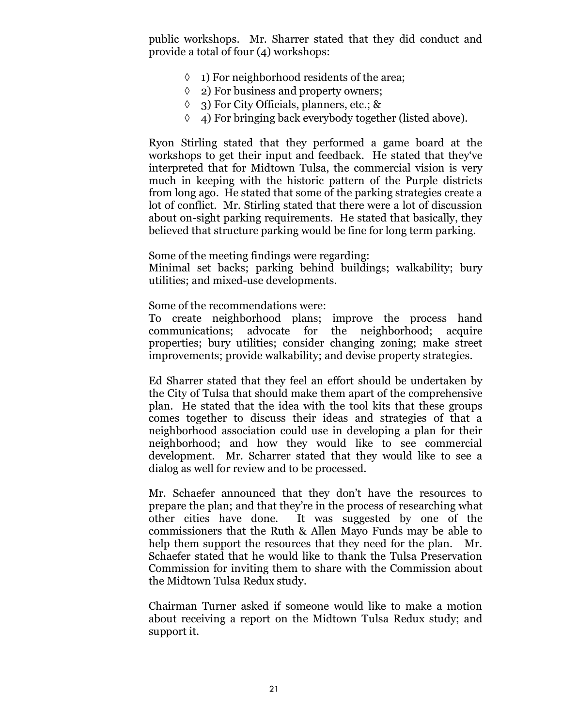public workshops. Mr. Sharrer stated that they did conduct and provide a total of four (4) workshops:

- $\Diamond$  1) For neighborhood residents of the area;
- $\Diamond$  2) For business and property owners;
- 3) For City Officials, planners, etc.; &
- $\Diamond$  4) For bringing back everybody together (listed above).

Ryon Stirling stated that they performed a game board at the workshops to get their input and feedback. He stated that they've interpreted that for Midtown Tulsa, the commercial vision is very much in keeping with the historic pattern of the Purple districts from long ago. He stated that some of the parking strategies create a lot of conflict. Mr. Stirling stated that there were a lot of discussion about on-sight parking requirements. He stated that basically, they believed that structure parking would be fine for long term parking.

Some of the meeting findings were regarding:

Minimal set backs; parking behind buildings; walkability; bury utilities; and mixed-use developments.

Some of the recommendations were:

To create neighborhood plans; improve the process hand communications; advocate for the neighborhood; acquire properties; bury utilities; consider changing zoning; make street improvements; provide walkability; and devise property strategies.

Ed Sharrer stated that they feel an effort should be undertaken by the City of Tulsa that should make them apart of the comprehensive plan. He stated that the idea with the tool kits that these groups comes together to discuss their ideas and strategies of that a neighborhood association could use in developing a plan for their neighborhood; and how they would like to see commercial development. Mr. Scharrer stated that they would like to see a dialog as well for review and to be processed.

Mr. Schaefer announced that they don't have the resources to prepare the plan; and that they're in the process of researching what other cities have done. It was suggested by one of the commissioners that the Ruth & Allen Mayo Funds may be able to help them support the resources that they need for the plan. Mr. Schaefer stated that he would like to thank the Tulsa Preservation Commission for inviting them to share with the Commission about the Midtown Tulsa Redux study.

Chairman Turner asked if someone would like to make a motion about receiving a report on the Midtown Tulsa Redux study; and support it.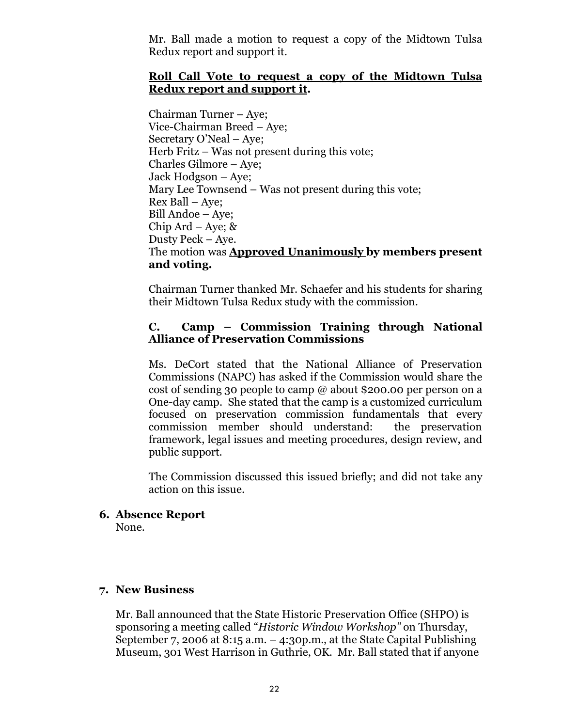Mr. Ball made a motion to request a copy of the Midtown Tulsa Redux report and support it.

#### **Roll Call Vote to request a copy of the Midtown Tulsa Redux report and support it.**

Chairman Turner – Aye; Vice-Chairman Breed – Aye; Secretary O'Neal – Aye; Herb Fritz  $-$  Was not present during this vote; Charles Gilmore – Aye; Jack Hodgson – Aye; Mary Lee Townsend – Was not present during this vote; Rex Ball – Aye; Bill Andoe – Aye; Chip Ard – Aye;  $\&$ Dusty Peck – Aye. The motion was **Approved Unanimously by members present and voting.**

Chairman Turner thanked Mr. Schaefer and his students for sharing their Midtown Tulsa Redux study with the commission.

#### **C. Camp – Commission Training through National Alliance of Preservation Commissions**

Ms. DeCort stated that the National Alliance of Preservation Commissions (NAPC) has asked if the Commission would share the cost of sending 30 people to camp @ about \$200.00 per person on a One-day camp. She stated that the camp is a customized curriculum focused on preservation commission fundamentals that every commission member should understand: the preservation framework, legal issues and meeting procedures, design review, and public support.

The Commission discussed this issued briefly; and did not take any action on this issue.

## **6. Absence Report**

None.

## **7. New Business**

Mr. Ball announced that the State Historic Preservation Office (SHPO) is sponsoring a meeting called "*Historic Window Workshop"*on Thursday, September 7, 2006 at 8:15 a.m. – 4:30p.m., at the State Capital Publishing Museum, 301 West Harrison in Guthrie, OK. Mr. Ball stated that if anyone